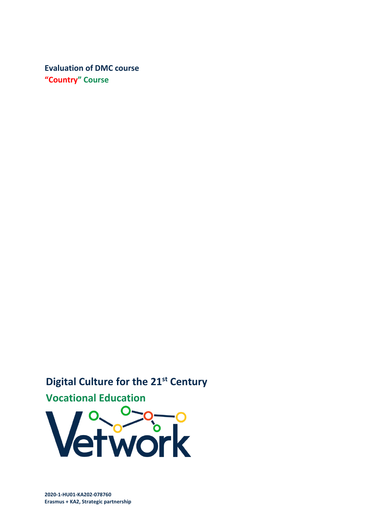**Evaluation of DMC course "Country" Course**

**Digital Culture for the 21st Century**

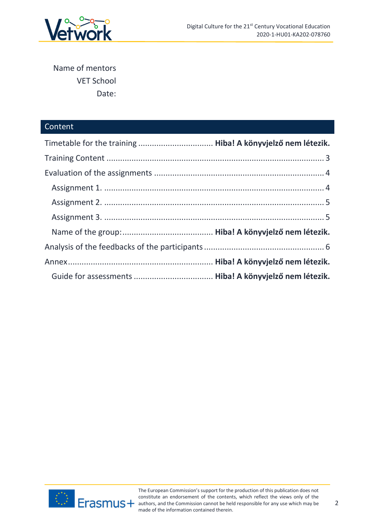

Name of mentors VET School Date:

# Content

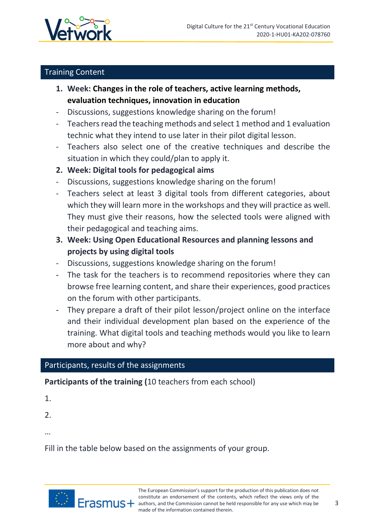

# <span id="page-2-0"></span>Training Content

- **1. Week: Changes in the role of teachers, active learning methods, evaluation techniques, innovation in education**
- Discussions, suggestions knowledge sharing on the forum!
- Teachers read the teaching methods and select 1 method and 1 evaluation technic what they intend to use later in their pilot digital lesson.
- Teachers also select one of the creative techniques and describe the situation in which they could/plan to apply it.
- **2. Week: Digital tools for pedagogical aims**
- Discussions, suggestions knowledge sharing on the forum!
- Teachers select at least 3 digital tools from different categories, about which they will learn more in the workshops and they will practice as well. They must give their reasons, how the selected tools were aligned with their pedagogical and teaching aims.
- **3. Week: Using Open Educational Resources and planning lessons and projects by using digital tools**
- Discussions, suggestions knowledge sharing on the forum!
- The task for the teachers is to recommend repositories where they can browse free learning content, and share their experiences, good practices on the forum with other participants.
- They prepare a draft of their pilot lesson/project online on the interface and their individual development plan based on the experience of the training. What digital tools and teaching methods would you like to learn more about and why?

# Participants, results of the assignments

**Participants of the training (**10 teachers from each school)

1.

2.

…

Fill in the table below based on the assignments of your group.

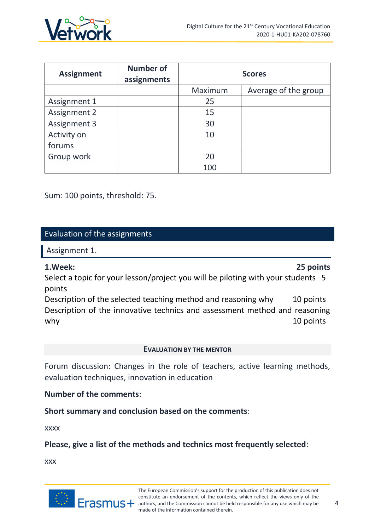

| <b>Assignment</b> | <b>Number of</b><br>assignments |         | <b>Scores</b>        |
|-------------------|---------------------------------|---------|----------------------|
|                   |                                 | Maximum | Average of the group |
| Assignment 1      |                                 | 25      |                      |
| Assignment 2      |                                 | 15      |                      |
| Assignment 3      |                                 | 30      |                      |
| Activity on       |                                 | 10      |                      |
| forums            |                                 |         |                      |
| Group work        |                                 | 20      |                      |
|                   |                                 | 100     |                      |

Sum: 100 points, threshold: 75.

## <span id="page-3-0"></span>Evaluation of the assignments

<span id="page-3-1"></span>Assignment 1.

### **1.Week: 25 points**

Select a topic for your lesson/project you will be piloting with your students 5 points

Description of the selected teaching method and reasoning why 10 points Description of the innovative technics and assessment method and reasoning why the contract of the contract of the contract of the contract of the contract of the contract of the contract of  $10$  points

#### **EVALUATION BY THE MENTOR**

Forum discussion: Changes in the role of teachers, active learning methods, evaluation techniques, innovation in education

**Number of the comments**:

**Short summary and conclusion based on the comments**:

xxxx

**Please, give a list of the methods and technics most frequently selected**:

xxx

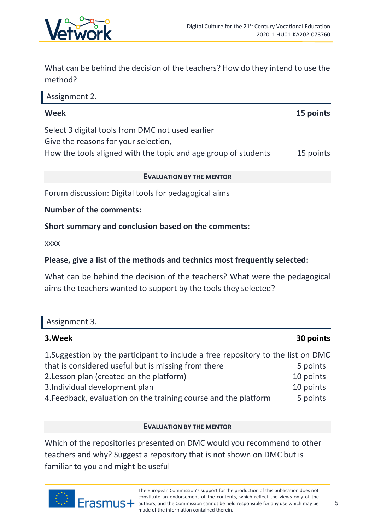

What can be behind the decision of the teachers? How do they intend to use the method?

<span id="page-4-0"></span>

| Assignment 2.                                                  |           |
|----------------------------------------------------------------|-----------|
| <b>Week</b>                                                    | 15 points |
| Select 3 digital tools from DMC not used earlier               |           |
| Give the reasons for your selection,                           |           |
| How the tools aligned with the topic and age group of students | 15 points |
|                                                                |           |

#### **EVALUATION BY THE MENTOR**

Forum discussion: Digital tools for pedagogical aims

**Number of the comments:** 

### **Short summary and conclusion based on the comments:**

xxxx

## **Please, give a list of the methods and technics most frequently selected:**

What can be behind the decision of the teachers? What were the pedagogical aims the teachers wanted to support by the tools they selected?

<span id="page-4-1"></span>

| Assignment 3.                                                                    |           |  |
|----------------------------------------------------------------------------------|-----------|--|
| 3. Week                                                                          | 30 points |  |
| 1. Suggestion by the participant to include a free repository to the list on DMC |           |  |
| that is considered useful but is missing from there                              | 5 points  |  |
| 2. Lesson plan (created on the platform)                                         | 10 points |  |
| المتمالس بالمستحدث وبالمستحل المساحل المتابع المتحالي والمنافر                   | 40.12     |  |

3.Individual development plan 10 points

4. Feedback, evaluation on the training course and the platform 5 points

#### **EVALUATION BY THE MENTOR**

Which of the repositories presented on DMC would you recommend to other teachers and why? Suggest a repository that is not shown on DMC but is familiar to you and might be useful

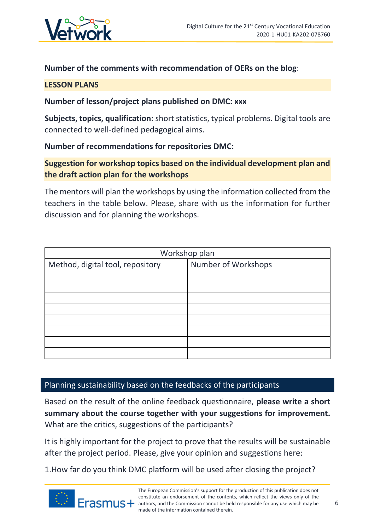

## **Number of the comments with recommendation of OERs on the blog**:

### **LESSON PLANS**

## **Number of lesson/project plans published on DMC: xxx**

**Subjects, topics, qualification:** short statistics, typical problems. Digital tools are connected to well-defined pedagogical aims.

## **Number of recommendations for repositories DMC:**

# **Suggestion for workshop topics based on the individual development plan and the draft action plan for the workshops**

The mentors will plan the workshops by using the information collected from the teachers in the table below. Please, share with us the information for further discussion and for planning the workshops.

| Workshop plan                    |                     |  |
|----------------------------------|---------------------|--|
| Method, digital tool, repository | Number of Workshops |  |
|                                  |                     |  |
|                                  |                     |  |
|                                  |                     |  |
|                                  |                     |  |
|                                  |                     |  |
|                                  |                     |  |
|                                  |                     |  |
|                                  |                     |  |

## <span id="page-5-0"></span>Planning sustainability based on the feedbacks of the participants

Based on the result of the online feedback questionnaire, **please write a short summary about the course together with your suggestions for improvement.** What are the critics, suggestions of the participants?

It is highly important for the project to prove that the results will be sustainable after the project period. Please, give your opinion and suggestions here:

1.How far do you think DMC platform will be used after closing the project?